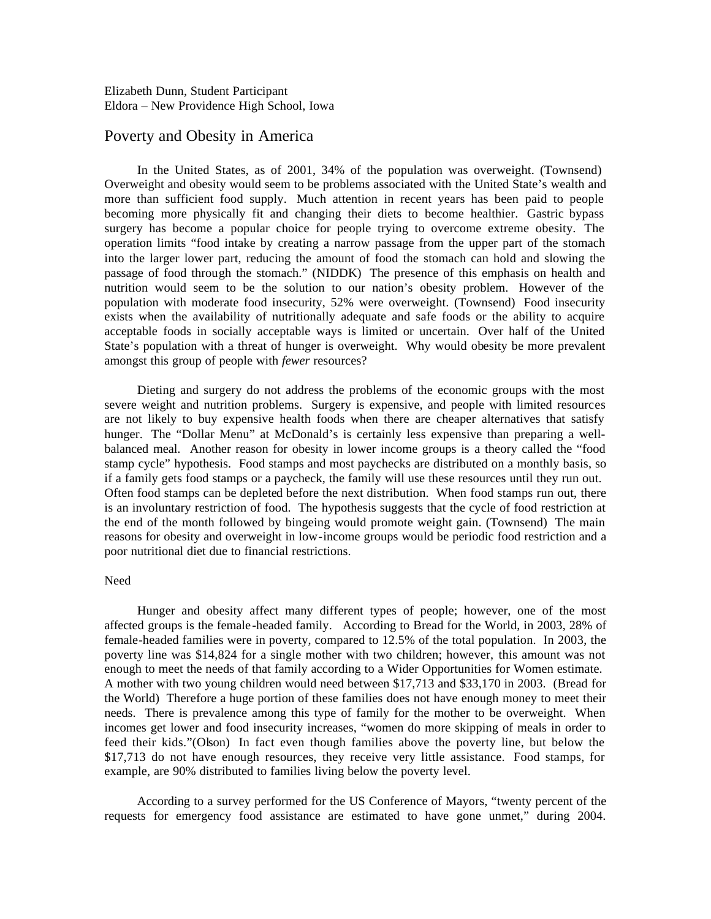# Poverty and Obesity in America

In the United States, as of 2001, 34% of the population was overweight. (Townsend) Overweight and obesity would seem to be problems associated with the United State's wealth and more than sufficient food supply. Much attention in recent years has been paid to people becoming more physically fit and changing their diets to become healthier. Gastric bypass surgery has become a popular choice for people trying to overcome extreme obesity. The operation limits "food intake by creating a narrow passage from the upper part of the stomach into the larger lower part, reducing the amount of food the stomach can hold and slowing the passage of food through the stomach." (NIDDK) The presence of this emphasis on health and nutrition would seem to be the solution to our nation's obesity problem. However of the population with moderate food insecurity, 52% were overweight. (Townsend) Food insecurity exists when the availability of nutritionally adequate and safe foods or the ability to acquire acceptable foods in socially acceptable ways is limited or uncertain. Over half of the United State's population with a threat of hunger is overweight. Why would obesity be more prevalent amongst this group of people with *fewer* resources?

Dieting and surgery do not address the problems of the economic groups with the most severe weight and nutrition problems. Surgery is expensive, and people with limited resources are not likely to buy expensive health foods when there are cheaper alternatives that satisfy hunger. The "Dollar Menu" at McDonald's is certainly less expensive than preparing a wellbalanced meal. Another reason for obesity in lower income groups is a theory called the "food stamp cycle" hypothesis. Food stamps and most paychecks are distributed on a monthly basis, so if a family gets food stamps or a paycheck, the family will use these resources until they run out. Often food stamps can be depleted before the next distribution. When food stamps run out, there is an involuntary restriction of food. The hypothesis suggests that the cycle of food restriction at the end of the month followed by bingeing would promote weight gain. (Townsend) The main reasons for obesity and overweight in low-income groups would be periodic food restriction and a poor nutritional diet due to financial restrictions.

#### Need

Hunger and obesity affect many different types of people; however, one of the most affected groups is the female-headed family. According to Bread for the World, in 2003, 28% of female-headed families were in poverty, compared to 12.5% of the total population. In 2003, the poverty line was \$14,824 for a single mother with two children; however, this amount was not enough to meet the needs of that family according to a Wider Opportunities for Women estimate. A mother with two young children would need between \$17,713 and \$33,170 in 2003. (Bread for the World) Therefore a huge portion of these families does not have enough money to meet their needs. There is prevalence among this type of family for the mother to be overweight. When incomes get lower and food insecurity increases, "women do more skipping of meals in order to feed their kids."(Olson) In fact even though families above the poverty line, but below the \$17,713 do not have enough resources, they receive very little assistance. Food stamps, for example, are 90% distributed to families living below the poverty level.

According to a survey performed for the US Conference of Mayors, "twenty percent of the requests for emergency food assistance are estimated to have gone unmet," during 2004.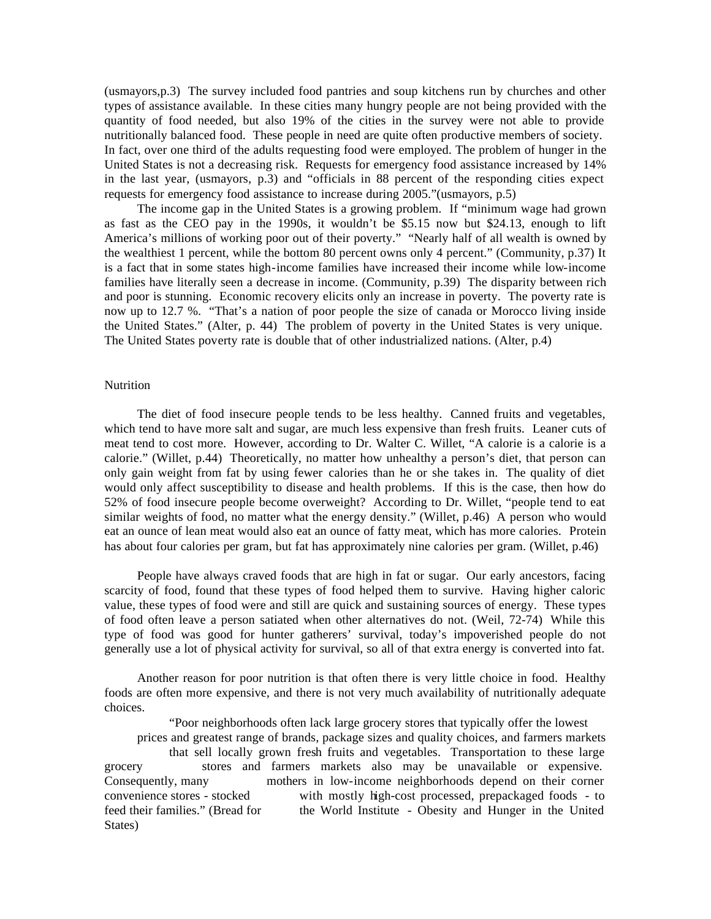(usmayors,p.3) The survey included food pantries and soup kitchens run by churches and other types of assistance available. In these cities many hungry people are not being provided with the quantity of food needed, but also 19% of the cities in the survey were not able to provide nutritionally balanced food. These people in need are quite often productive members of society. In fact, over one third of the adults requesting food were employed. The problem of hunger in the United States is not a decreasing risk. Requests for emergency food assistance increased by 14% in the last year, (usmayors, p.3) and "officials in 88 percent of the responding cities expect requests for emergency food assistance to increase during 2005."(usmayors, p.5)

The income gap in the United States is a growing problem. If "minimum wage had grown as fast as the CEO pay in the 1990s, it wouldn't be \$5.15 now but \$24.13, enough to lift America's millions of working poor out of their poverty." "Nearly half of all wealth is owned by the wealthiest 1 percent, while the bottom 80 percent owns only 4 percent." (Community, p.37) It is a fact that in some states high-income families have increased their income while low-income families have literally seen a decrease in income. (Community, p.39) The disparity between rich and poor is stunning. Economic recovery elicits only an increase in poverty. The poverty rate is now up to 12.7 %. "That's a nation of poor people the size of canada or Morocco living inside the United States." (Alter, p. 44) The problem of poverty in the United States is very unique. The United States poverty rate is double that of other industrialized nations. (Alter, p.4)

## Nutrition

The diet of food insecure people tends to be less healthy. Canned fruits and vegetables, which tend to have more salt and sugar, are much less expensive than fresh fruits. Leaner cuts of meat tend to cost more. However, according to Dr. Walter C. Willet, "A calorie is a calorie is a calorie." (Willet, p.44) Theoretically, no matter how unhealthy a person's diet, that person can only gain weight from fat by using fewer calories than he or she takes in. The quality of diet would only affect susceptibility to disease and health problems. If this is the case, then how do 52% of food insecure people become overweight? According to Dr. Willet, "people tend to eat similar weights of food, no matter what the energy density." (Willet, p.46) A person who would eat an ounce of lean meat would also eat an ounce of fatty meat, which has more calories. Protein has about four calories per gram, but fat has approximately nine calories per gram. (Willet, p.46)

People have always craved foods that are high in fat or sugar. Our early ancestors, facing scarcity of food, found that these types of food helped them to survive. Having higher caloric value, these types of food were and still are quick and sustaining sources of energy. These types of food often leave a person satiated when other alternatives do not. (Weil, 72-74) While this type of food was good for hunter gatherers' survival, today's impoverished people do not generally use a lot of physical activity for survival, so all of that extra energy is converted into fat.

Another reason for poor nutrition is that often there is very little choice in food. Healthy foods are often more expensive, and there is not very much availability of nutritionally adequate choices.

"Poor neighborhoods often lack large grocery stores that typically offer the lowest prices and greatest range of brands, package sizes and quality choices, and farmers markets that sell locally grown fresh fruits and vegetables. Transportation to these large grocery stores and farmers markets also may be unavailable or expensive. Consequently, many mothers in low-income neighborhoods depend on their corner convenience stores - stocked with mostly high-cost processed, prepackaged foods - to feed their families." (Bread for the World Institute - Obesity and Hunger in the United States)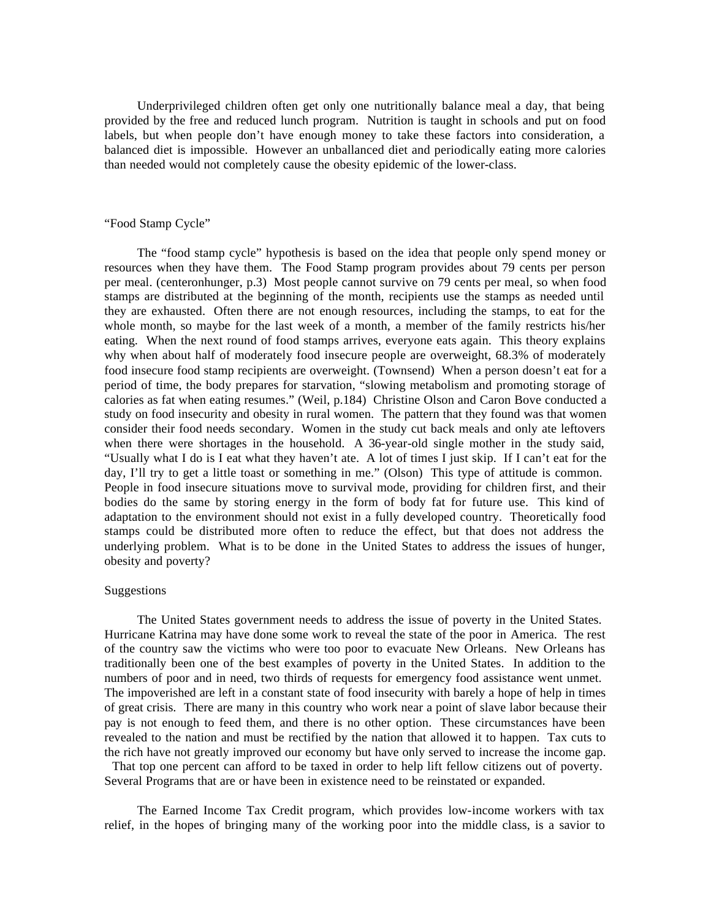Underprivileged children often get only one nutritionally balance meal a day, that being provided by the free and reduced lunch program. Nutrition is taught in schools and put on food labels, but when people don't have enough money to take these factors into consideration, a balanced diet is impossible. However an unballanced diet and periodically eating more calories than needed would not completely cause the obesity epidemic of the lower-class.

## "Food Stamp Cycle"

The "food stamp cycle" hypothesis is based on the idea that people only spend money or resources when they have them. The Food Stamp program provides about 79 cents per person per meal. (centeronhunger, p.3) Most people cannot survive on 79 cents per meal, so when food stamps are distributed at the beginning of the month, recipients use the stamps as needed until they are exhausted. Often there are not enough resources, including the stamps, to eat for the whole month, so maybe for the last week of a month, a member of the family restricts his/her eating. When the next round of food stamps arrives, everyone eats again. This theory explains why when about half of moderately food insecure people are overweight, 68.3% of moderately food insecure food stamp recipients are overweight. (Townsend) When a person doesn't eat for a period of time, the body prepares for starvation, "slowing metabolism and promoting storage of calories as fat when eating resumes." (Weil, p.184) Christine Olson and Caron Bove conducted a study on food insecurity and obesity in rural women. The pattern that they found was that women consider their food needs secondary. Women in the study cut back meals and only ate leftovers when there were shortages in the household. A 36-year-old single mother in the study said, "Usually what I do is I eat what they haven't ate. A lot of times I just skip. If I can't eat for the day, I'll try to get a little toast or something in me." (Olson) This type of attitude is common. People in food insecure situations move to survival mode, providing for children first, and their bodies do the same by storing energy in the form of body fat for future use. This kind of adaptation to the environment should not exist in a fully developed country. Theoretically food stamps could be distributed more often to reduce the effect, but that does not address the underlying problem. What is to be done in the United States to address the issues of hunger, obesity and poverty?

### Suggestions

The United States government needs to address the issue of poverty in the United States. Hurricane Katrina may have done some work to reveal the state of the poor in America. The rest of the country saw the victims who were too poor to evacuate New Orleans. New Orleans has traditionally been one of the best examples of poverty in the United States. In addition to the numbers of poor and in need, two thirds of requests for emergency food assistance went unmet. The impoverished are left in a constant state of food insecurity with barely a hope of help in times of great crisis. There are many in this country who work near a point of slave labor because their pay is not enough to feed them, and there is no other option. These circumstances have been revealed to the nation and must be rectified by the nation that allowed it to happen. Tax cuts to the rich have not greatly improved our economy but have only served to increase the income gap. That top one percent can afford to be taxed in order to help lift fellow citizens out of poverty. Several Programs that are or have been in existence need to be reinstated or expanded.

The Earned Income Tax Credit program, which provides low-income workers with tax relief, in the hopes of bringing many of the working poor into the middle class, is a savior to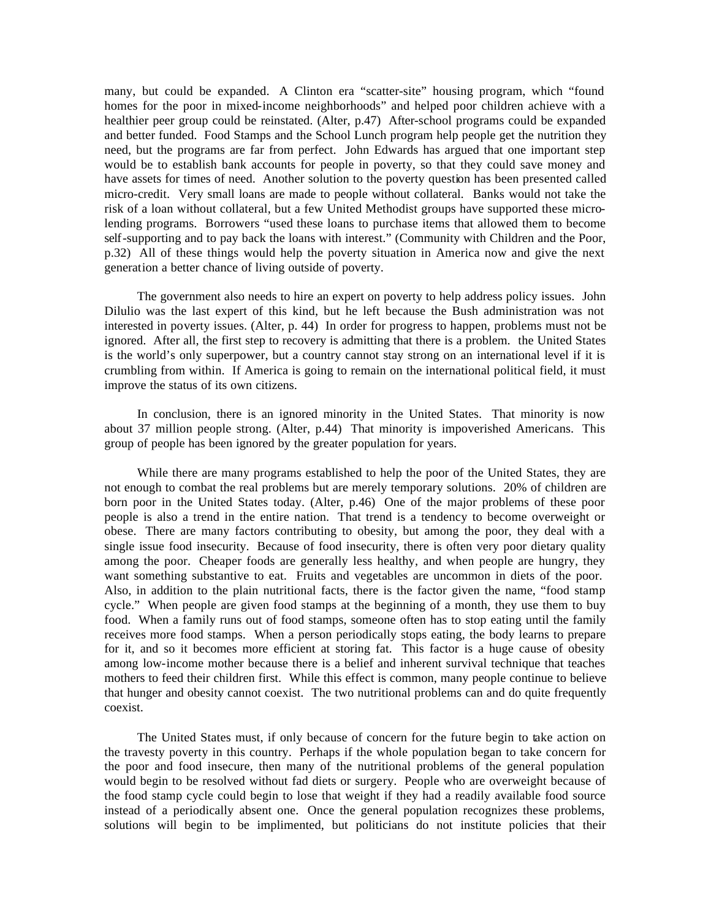many, but could be expanded. A Clinton era "scatter-site" housing program, which "found homes for the poor in mixed-income neighborhoods" and helped poor children achieve with a healthier peer group could be reinstated. (Alter, p.47) After-school programs could be expanded and better funded. Food Stamps and the School Lunch program help people get the nutrition they need, but the programs are far from perfect. John Edwards has argued that one important step would be to establish bank accounts for people in poverty, so that they could save money and have assets for times of need. Another solution to the poverty question has been presented called micro-credit. Very small loans are made to people without collateral. Banks would not take the risk of a loan without collateral, but a few United Methodist groups have supported these microlending programs. Borrowers "used these loans to purchase items that allowed them to become self-supporting and to pay back the loans with interest." (Community with Children and the Poor, p.32) All of these things would help the poverty situation in America now and give the next generation a better chance of living outside of poverty.

The government also needs to hire an expert on poverty to help address policy issues. John Dilulio was the last expert of this kind, but he left because the Bush administration was not interested in poverty issues. (Alter, p. 44) In order for progress to happen, problems must not be ignored. After all, the first step to recovery is admitting that there is a problem. the United States is the world's only superpower, but a country cannot stay strong on an international level if it is crumbling from within. If America is going to remain on the international political field, it must improve the status of its own citizens.

In conclusion, there is an ignored minority in the United States. That minority is now about 37 million people strong. (Alter, p.44) That minority is impoverished Americans. This group of people has been ignored by the greater population for years.

While there are many programs established to help the poor of the United States, they are not enough to combat the real problems but are merely temporary solutions. 20% of children are born poor in the United States today. (Alter, p.46) One of the major problems of these poor people is also a trend in the entire nation. That trend is a tendency to become overweight or obese. There are many factors contributing to obesity, but among the poor, they deal with a single issue food insecurity. Because of food insecurity, there is often very poor dietary quality among the poor. Cheaper foods are generally less healthy, and when people are hungry, they want something substantive to eat. Fruits and vegetables are uncommon in diets of the poor. Also, in addition to the plain nutritional facts, there is the factor given the name, "food stamp cycle." When people are given food stamps at the beginning of a month, they use them to buy food. When a family runs out of food stamps, someone often has to stop eating until the family receives more food stamps. When a person periodically stops eating, the body learns to prepare for it, and so it becomes more efficient at storing fat. This factor is a huge cause of obesity among low-income mother because there is a belief and inherent survival technique that teaches mothers to feed their children first. While this effect is common, many people continue to believe that hunger and obesity cannot coexist. The two nutritional problems can and do quite frequently coexist.

The United States must, if only because of concern for the future begin to take action on the travesty poverty in this country. Perhaps if the whole population began to take concern for the poor and food insecure, then many of the nutritional problems of the general population would begin to be resolved without fad diets or surgery. People who are overweight because of the food stamp cycle could begin to lose that weight if they had a readily available food source instead of a periodically absent one. Once the general population recognizes these problems, solutions will begin to be implimented, but politicians do not institute policies that their